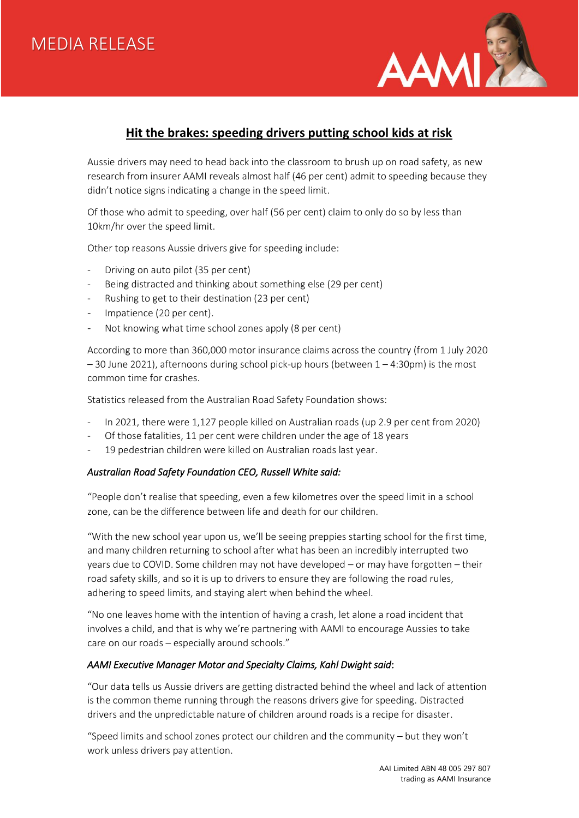

# **Hit the brakes: speeding drivers putting school kids at risk**

Aussie drivers may need to head back into the classroom to brush up on road safety, as new research from insurer AAMI reveals almost half (46 per cent) admit to speeding because they didn't notice signs indicating a change in the speed limit.

Of those who admit to speeding, over half (56 per cent) claim to only do so by less than 10km/hr over the speed limit.

Other top reasons Aussie drivers give for speeding include:

- Driving on auto pilot (35 per cent)
- Being distracted and thinking about something else (29 per cent)
- Rushing to get to their destination (23 per cent)
- Impatience (20 per cent).
- Not knowing what time school zones apply (8 per cent)

According to more than 360,000 motor insurance claims across the country (from 1 July 2020 – 30 June 2021), afternoons during school pick-up hours (between 1 – 4:30pm) is the most common time for crashes.

Statistics released from the Australian Road Safety Foundation shows:

- In 2021, there were 1,127 people killed on Australian roads (up 2.9 per cent from 2020)
- Of those fatalities, 11 per cent were children under the age of 18 years
- 19 pedestrian children were killed on Australian roads last year.

## *Australian Road Safety Foundation CEO, Russell White said:*

"People don't realise that speeding, even a few kilometres over the speed limit in a school zone, can be the difference between life and death for our children.

"With the new school year upon us, we'll be seeing preppies starting school for the first time, and many children returning to school after what has been an incredibly interrupted two years due to COVID. Some children may not have developed – or may have forgotten – their road safety skills, and so it is up to drivers to ensure they are following the road rules, adhering to speed limits, and staying alert when behind the wheel.

"No one leaves home with the intention of having a crash, let alone a road incident that involves a child, and that is why we're partnering with AAMI to encourage Aussies to take care on our roads – especially around schools."

## *AAMI Executive Manager Motor and Specialty Claims, Kahl Dwight said*:

"Our data tells us Aussie drivers are getting distracted behind the wheel and lack of attention is the common theme running through the reasons drivers give for speeding. Distracted drivers and the unpredictable nature of children around roads is a recipe for disaster.

"Speed limits and school zones protect our children and the community – but they won't work unless drivers pay attention.